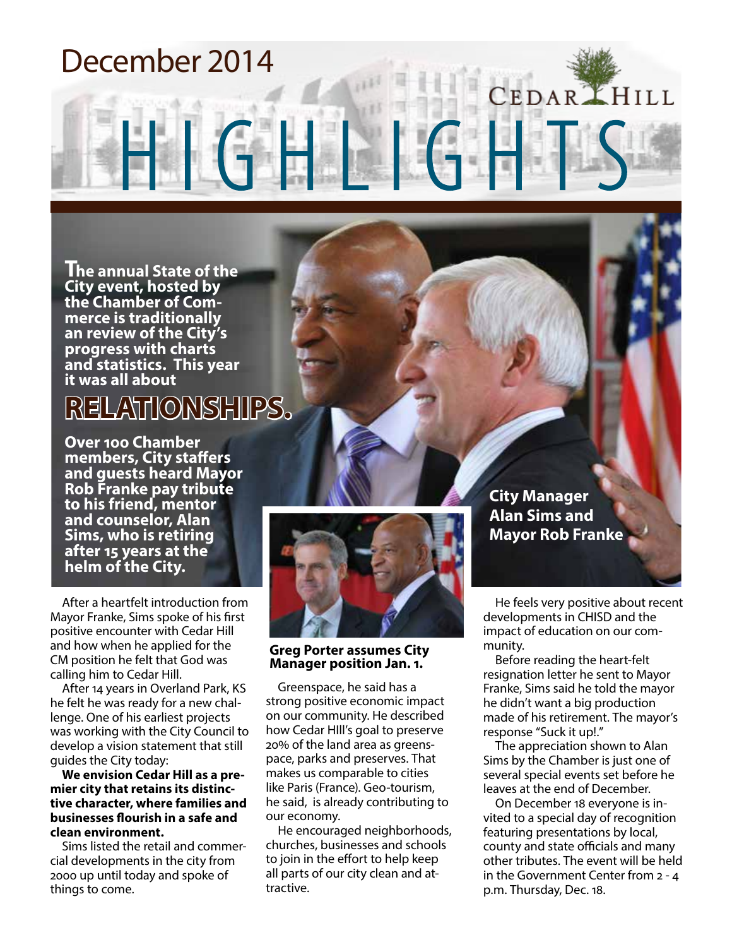### December 2014

**The annual State of the City event, hosted by merce is traditionally an review of the City's progress with charts and statistics. This year it was all about**

### **RELATIONSHIPS.**

**Over 100 Chamber members, City staffers and guests heard Mayor Rob Franke pay tribute to his friend, mentor and counselor, Alan Sims, who is retiring after 15 years at the helm of the City.**

After a heartfelt introduction from Mayor Franke, Sims spoke of his first positive encounter with Cedar Hill and how when he applied for the CM position he felt that God was calling him to Cedar Hill.

After 14 years in Overland Park, KS he felt he was ready for a new challenge. One of his earliest projects was working with the City Council to develop a vision statement that still guides the City today:

**We envision Cedar Hill as a premier city that retains its distinctive character, where families and businesses flourish in a safe and clean environment.**

Sims listed the retail and commercial developments in the city from 2000 up until today and spoke of things to come.



HIGHLIGH

#### **Greg Porter assumes City Manager position Jan. 1.**

Greenspace, he said has a strong positive economic impact on our community. He described how Cedar HIll's goal to preserve 20% of the land area as greenspace, parks and preserves. That makes us comparable to cities like Paris (France). Geo-tourism, he said, is already contributing to our economy.

He encouraged neighborhoods, churches, businesses and schools to join in the effort to help keep all parts of our city clean and attractive.

**City Manager Alan Sims and Mayor Rob Franke** 

He feels very positive about recent developments in CHISD and the impact of education on our community.

CEDARLHILL

Before reading the heart-felt resignation letter he sent to Mayor Franke, Sims said he told the mayor he didn't want a big production made of his retirement. The mayor's response "Suck it up!."

The appreciation shown to Alan Sims by the Chamber is just one of several special events set before he leaves at the end of December.

On December 18 everyone is invited to a special day of recognition featuring presentations by local, county and state officials and many other tributes. The event will be held in the Government Center from 2 - 4 p.m. Thursday, Dec. 18.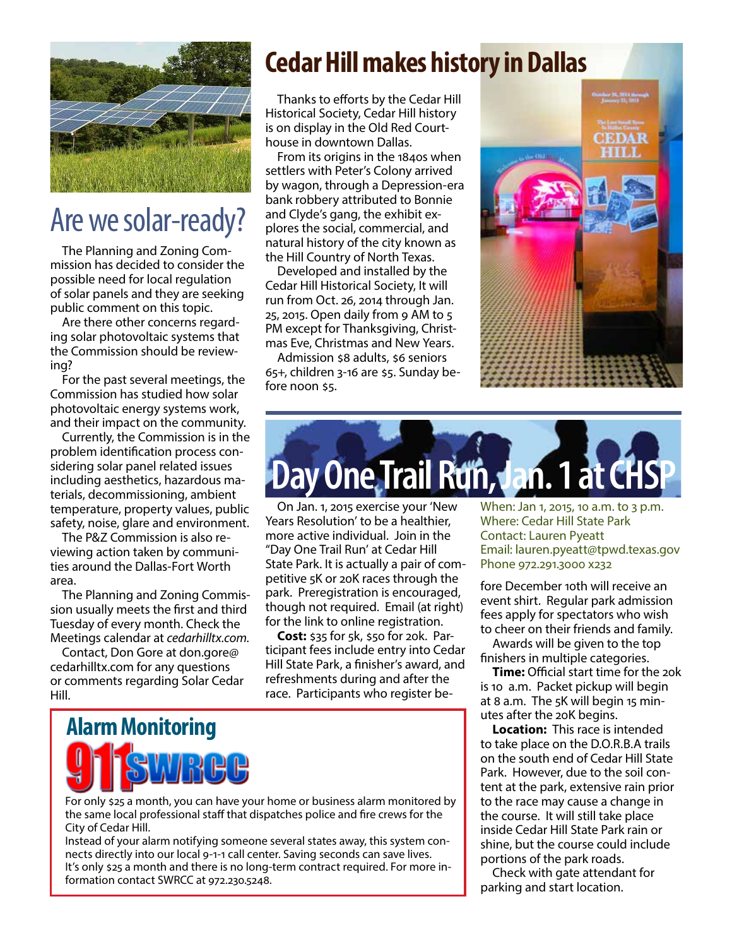

### Are we solar-ready?

The Planning and Zoning Commission has decided to consider the possible need for local regulation of solar panels and they are seeking public comment on this topic.

Are there other concerns regarding solar photovoltaic systems that the Commission should be reviewing?

For the past several meetings, the Commission has studied how solar photovoltaic energy systems work, and their impact on the community.

Currently, the Commission is in the problem identification process considering solar panel related issues including aesthetics, hazardous materials, decommissioning, ambient temperature, property values, public safety, noise, glare and environment.

The P&Z Commission is also reviewing action taken by communities around the Dallas-Fort Worth area.

The Planning and Zoning Commission usually meets the first and third Tuesday of every month. Check the Meetings calendar at *cedarhilltx.com.*

Contact, Don Gore at don.gore@ cedarhilltx.com for any questions or comments regarding Solar Cedar Hill.

### **Cedar Hill makes history in Dallas**

Thanks to efforts by the Cedar Hill Historical Society, Cedar Hill history is on display in the Old Red Courthouse in downtown Dallas.

From its origins in the 1840s when settlers with Peter's Colony arrived by wagon, through a Depression-era bank robbery attributed to Bonnie and Clyde's gang, the exhibit explores the social, commercial, and natural history of the city known as the Hill Country of North Texas.

Developed and installed by the Cedar Hill Historical Society, It will run from Oct. 26, 2014 through Jan. 25, 2015. Open daily from 9 AM to 5 PM except for Thanksgiving, Christmas Eve, Christmas and New Years.

Admission \$8 adults, \$6 seniors 65+, children 3-16 are \$5. Sunday before noon \$5.





On Jan. 1, 2015 exercise your 'New Years Resolution' to be a healthier, more active individual. Join in the "Day One Trail Run' at Cedar Hill State Park. It is actually a pair of competitive 5K or 20K races through the park. Preregistration is encouraged, though not required. Email (at right) for the link to online registration.

**Cost:** \$35 for 5k, \$50 for 20k. Participant fees include entry into Cedar Hill State Park, a finisher's award, and refreshments during and after the race. Participants who register be-

**Alarm Monitoring**

For only \$25 a month, you can have your home or business alarm monitored by the same local professional staff that dispatches police and fire crews for the City of Cedar Hill.

Instead of your alarm notifying someone several states away, this system connects directly into our local 9-1-1 call center. Saving seconds can save lives. It's only \$25 a month and there is no long-term contract required. For more information contact SWRCC at 972.230.5248.

When: Jan 1, 2015, 10 a.m. to 3 p.m. Where: Cedar Hill State Park Contact: Lauren Pyeatt Email: lauren.pyeatt@tpwd.texas.gov Phone 972.291.3000 x232

fore December 10th will receive an event shirt. Regular park admission fees apply for spectators who wish to cheer on their friends and family.

Awards will be given to the top finishers in multiple categories.

**Time:** Official start time for the 20k is 10 a.m. Packet pickup will begin at 8 a.m. The 5K will begin 15 minutes after the 20K begins.

**Location:** This race is intended to take place on the D.O.R.B.A trails on the south end of Cedar Hill State Park. However, due to the soil content at the park, extensive rain prior to the race may cause a change in the course. It will still take place inside Cedar Hill State Park rain or shine, but the course could include portions of the park roads.

Check with gate attendant for parking and start location.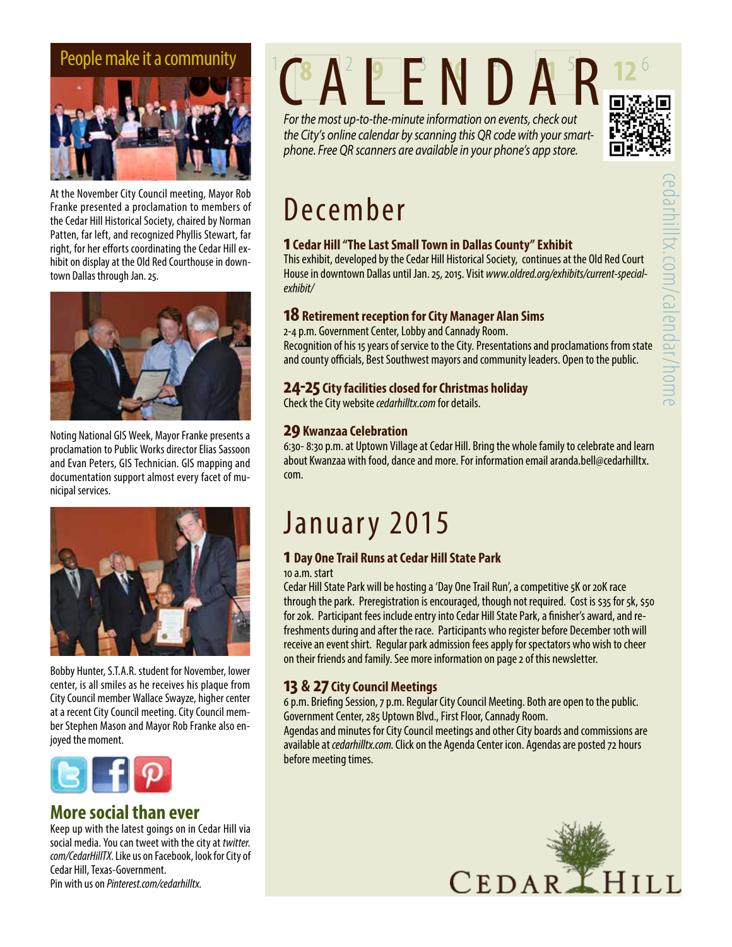

At the November City Council meeting, Mayor Rob Franke presented a proclamation to members of the Cedar Hill Historical Society, chaired by Norman Patten, far left, and recognized Phyllis Stewart, far right, for her efforts coordinating the Cedar Hill exhibit on display at the Old Red Courthouse in downtown Dallas through Jan. 25.



Noting National GIS Week, Mayor Franke presents a proclamation to Public Works director Elias Sassoon and Evan Peters, GIS Technician. GIS mapping and documentation support almost every facet of municipal services.



Bobby Hunter, S.T.A.R. student for November, lower center, is all smiles as he receives his plaque from City Council member Wallace Swayze, higher center at a recent City Council meeting. City Council member Stephen Mason and Mayor Rob Franke also enjoyed the moment.



### **More social than ever**

Keep up with the latest goings on in Cedar Hill via social media. You can tweet with the city at *twitter. com/CedarHillTX*. Like us on Facebook, look for City of Cedar Hill, Texas-Government. Pin with us on *Pinterest.com/cedarhilltx*.

# People make it a community<br>
CALENDAR

*For the most up-to-the-minute information on events, check out the City's online calendar by scanning this QR code with your smartphone. Free QR scanners are available in your phone's app store.*



### December

#### **1 Cedar Hill "The Last Small Town in Dallas County" Exhibit**

This exhibit, developed by the Cedar Hill Historical Society, continues at the Old Red Court House in downtown Dallas until Jan. 25, 2015. Visit *www.oldred.org/exhibits/current-specialexhibit/*

#### **18 Retirement reception for City Manager Alan Sims**

2-4 p.m. Government Center, Lobby and Cannady Room.

Recognition of his 15 years of service to the City. Presentations and proclamations from state and county officials, Best Southwest mayors and community leaders. Open to the public.

#### **24-25 City facilities closed for Christmas holiday**

Check the City website *cedarhilltx.com* for details.

#### **29 Kwanzaa Celebration**

6:30- 8:30 p.m. at Uptown Village at Cedar Hill. Bring the whole family to celebrate and learn about Kwanzaa with food, dance and more. For information email aranda.bell@cedarhilltx. com.

### January 2015

### **1 Day One Trail Runs at Cedar Hill State Park**

10 a.m. start

Cedar Hill State Park will be hosting a 'Day One Trail Run', a competitive 5K or 20K race through the park. Preregistration is encouraged, though not required. Cost is \$35 for 5k, \$50 for 20k. Participant fees include entry into Cedar Hill State Park, a finisher's award, and refreshments during and after the race. Participants who register before December 10th will receive an event shirt. Regular park admission fees apply for spectators who wish to cheer on their friends and family. See more information on page 2 of this newsletter.

#### **13 & 27 City Council Meetings**

6 p.m. Briefing Session, 7 p.m. Regular City Council Meeting. Both are open to the public. Government Center, 285 Uptown Blvd., First Floor, Cannady Room.

Agendas and minutes for City Council meetings and other City boards and commissions are available at *cedarhilltx.com*. Click on the Agenda Center icon. Agendas are posted 72 hours before meeting times.